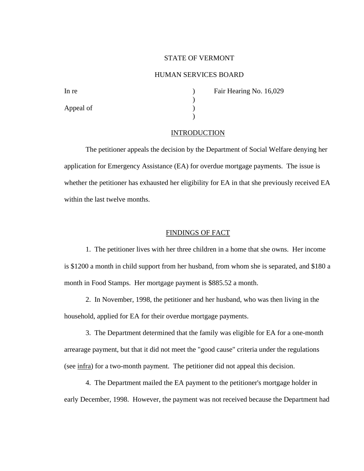## STATE OF VERMONT

# HUMAN SERVICES BOARD

Appeal of  $\qquad \qquad$  )

In re **In re** and **Fair Hearing No. 16,029** 

## INTRODUCTION

 $\mathcal{L}$ 

 $\lambda$ 

The petitioner appeals the decision by the Department of Social Welfare denying her application for Emergency Assistance (EA) for overdue mortgage payments. The issue is whether the petitioner has exhausted her eligibility for EA in that she previously received EA within the last twelve months.

## FINDINGS OF FACT

1. The petitioner lives with her three children in a home that she owns. Her income is \$1200 a month in child support from her husband, from whom she is separated, and \$180 a month in Food Stamps. Her mortgage payment is \$885.52 a month.

2. In November, 1998, the petitioner and her husband, who was then living in the household, applied for EA for their overdue mortgage payments.

3. The Department determined that the family was eligible for EA for a one-month arrearage payment, but that it did not meet the "good cause" criteria under the regulations (see infra) for a two-month payment. The petitioner did not appeal this decision.

4. The Department mailed the EA payment to the petitioner's mortgage holder in early December, 1998. However, the payment was not received because the Department had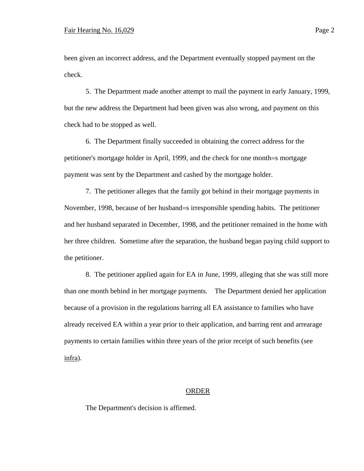been given an incorrect address, and the Department eventually stopped payment on the check.

5. The Department made another attempt to mail the payment in early January, 1999, but the new address the Department had been given was also wrong, and payment on this check had to be stopped as well.

6. The Department finally succeeded in obtaining the correct address for the petitioner's mortgage holder in April, 1999, and the check for one month=s mortgage payment was sent by the Department and cashed by the mortgage holder.

7. The petitioner alleges that the family got behind in their mortgage payments in November, 1998, because of her husband=s irresponsible spending habits. The petitioner and her husband separated in December, 1998, and the petitioner remained in the home with her three children. Sometime after the separation, the husband began paying child support to the petitioner.

8. The petitioner applied again for EA in June, 1999, alleging that she was still more than one month behind in her mortgage payments. The Department denied her application because of a provision in the regulations barring all EA assistance to families who have already received EA within a year prior to their application, and barring rent and arrearage payments to certain families within three years of the prior receipt of such benefits (see infra).

#### ORDER

The Department's decision is affirmed.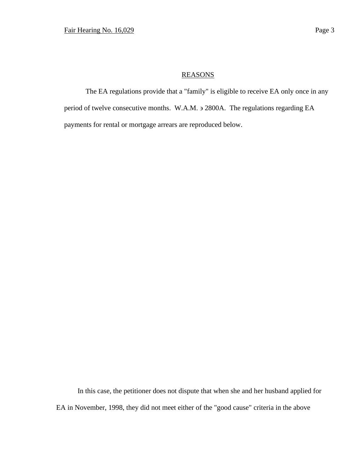# REASONS

The EA regulations provide that a "family" is eligible to receive EA only once in any period of twelve consecutive months. W.A.M.  $\geq$  2800A. The regulations regarding EA payments for rental or mortgage arrears are reproduced below.

In this case, the petitioner does not dispute that when she and her husband applied for EA in November, 1998, they did not meet either of the "good cause" criteria in the above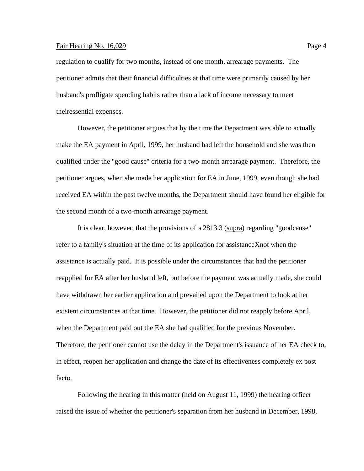## Fair Hearing No. 16,029 Page 4

regulation to qualify for two months, instead of one month, arrearage payments. The petitioner admits that their financial difficulties at that time were primarily caused by her husband's profligate spending habits rather than a lack of income necessary to meet theiressential expenses.

However, the petitioner argues that by the time the Department was able to actually make the EA payment in April, 1999, her husband had left the household and she was then qualified under the "good cause" criteria for a two-month arrearage payment. Therefore, the petitioner argues, when she made her application for EA in June, 1999, even though she had received EA within the past twelve months, the Department should have found her eligible for the second month of a two-month arrearage payment.

It is clear, however, that the provisions of  $\frac{32813.3 \text{ (supra)}}{2813.3 \text{ (supra)}}$  regarding "goodcause" refer to a family's situation at the time of its application for assistance Xnot when the assistance is actually paid. It is possible under the circumstances that had the petitioner reapplied for EA after her husband left, but before the payment was actually made, she could have withdrawn her earlier application and prevailed upon the Department to look at her existent circumstances at that time. However, the petitioner did not reapply before April, when the Department paid out the EA she had qualified for the previous November. Therefore, the petitioner cannot use the delay in the Department's issuance of her EA check to, in effect, reopen her application and change the date of its effectiveness completely ex post facto.

Following the hearing in this matter (held on August 11, 1999) the hearing officer raised the issue of whether the petitioner's separation from her husband in December, 1998,